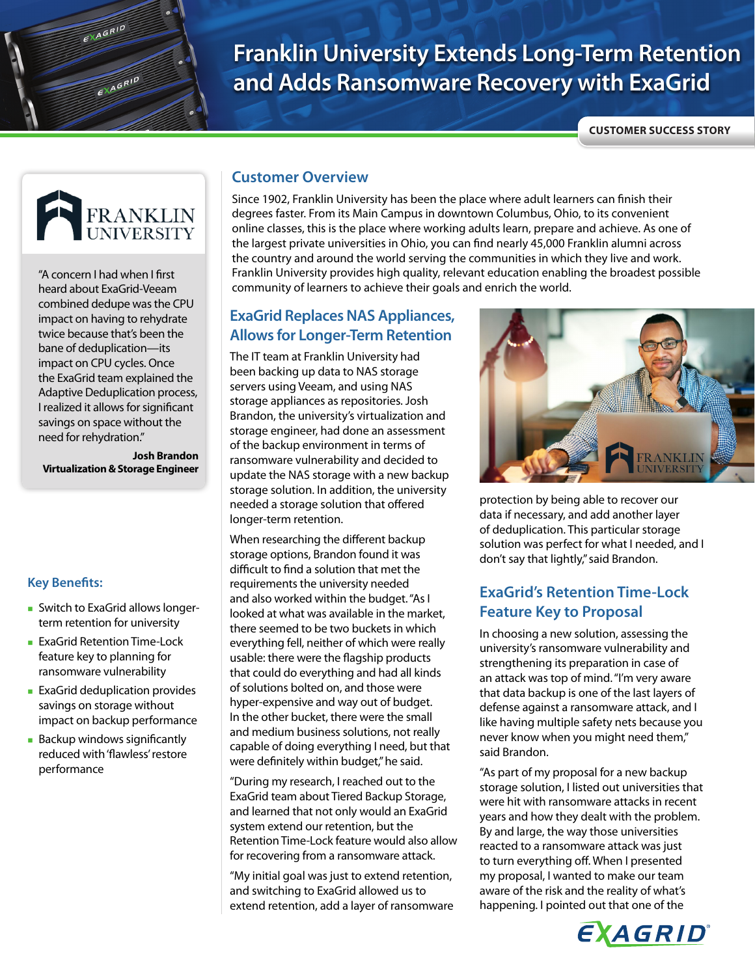# **Franklin University Extends Long-Term Retention and Adds Ransomware Recovery with ExaGrid**

**CUSTOMER SUCCESS STORY**



EXAGRID

EXAGRID

"A concern I had when I first heard about ExaGrid-Veeam combined dedupe was the CPU impact on having to rehydrate twice because that's been the bane of deduplication—its impact on CPU cycles. Once the ExaGrid team explained the Adaptive Deduplication process, I realized it allows for significant savings on space without the need for rehydration."

 **Josh Brandon Virtualization & Storage Engineer**

#### **Key Benefits:**

- **Switch to ExaGrid allows longer**term retention for university
- **ExaGrid Retention Time-Lock** feature key to planning for ransomware vulnerability
- **ExaGrid deduplication provides** savings on storage without impact on backup performance
- **Backup windows significantly** reduced with 'flawless' restore performance

#### **Customer Overview**

Since 1902, Franklin University has been the place where adult learners can finish their degrees faster. From its Main Campus in downtown Columbus, Ohio, to its convenient online classes, this is the place where working adults learn, prepare and achieve. As one of the largest private universities in Ohio, you can find nearly 45,000 Franklin alumni across the country and around the world serving the communities in which they live and work. Franklin University provides high quality, relevant education enabling the broadest possible community of learners to achieve their goals and enrich the world.

#### **ExaGrid Replaces NAS Appliances, Allows for Longer-Term Retention**

The IT team at Franklin University had been backing up data to NAS storage servers using Veeam, and using NAS storage appliances as repositories. Josh Brandon, the university's virtualization and storage engineer, had done an assessment of the backup environment in terms of ransomware vulnerability and decided to update the NAS storage with a new backup storage solution. In addition, the university needed a storage solution that offered longer-term retention.

When researching the different backup storage options, Brandon found it was difficult to find a solution that met the requirements the university needed and also worked within the budget. "As I looked at what was available in the market, there seemed to be two buckets in which everything fell, neither of which were really usable: there were the flagship products that could do everything and had all kinds of solutions bolted on, and those were hyper-expensive and way out of budget. In the other bucket, there were the small and medium business solutions, not really capable of doing everything I need, but that were definitely within budget," he said.

"During my research, I reached out to the ExaGrid team about Tiered Backup Storage, and learned that not only would an ExaGrid system extend our retention, but the Retention Time-Lock feature would also allow for recovering from a ransomware attack.

"My initial goal was just to extend retention, and switching to ExaGrid allowed us to extend retention, add a layer of ransomware



protection by being able to recover our data if necessary, and add another layer of deduplication. This particular storage solution was perfect for what I needed, and I don't say that lightly," said Brandon.

### **ExaGrid's Retention Time-Lock Feature Key to Proposal**

In choosing a new solution, assessing the university's ransomware vulnerability and strengthening its preparation in case of an attack was top of mind. "I'm very aware that data backup is one of the last layers of defense against a ransomware attack, and I like having multiple safety nets because you never know when you might need them," said Brandon.

"As part of my proposal for a new backup storage solution, I listed out universities that were hit with ransomware attacks in recent years and how they dealt with the problem. By and large, the way those universities reacted to a ransomware attack was just to turn everything off. When I presented my proposal, I wanted to make our team aware of the risk and the reality of what's happening. I pointed out that one of the